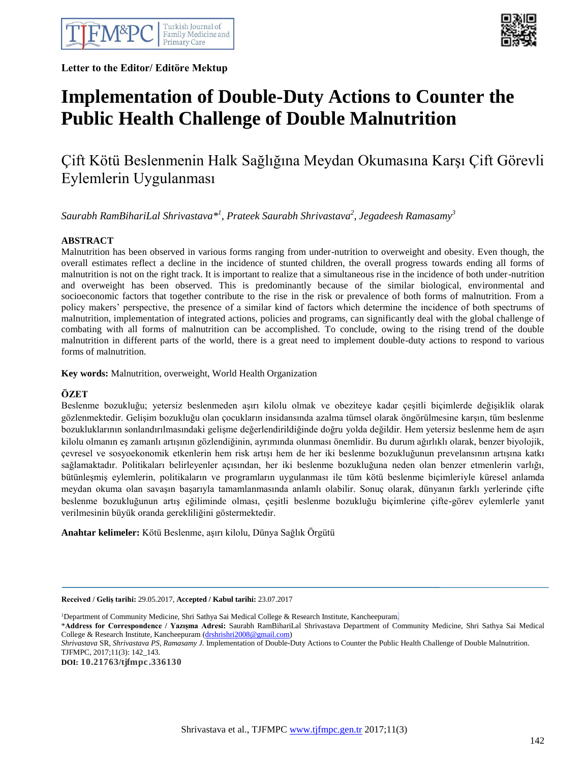

**Letter to the Editor/ Editöre Mektup** 



# **Implementation of Double-Duty Actions to Counter the Public Health Challenge of Double Malnutrition**

## Çift Kötü Beslenmenin Halk Sağlığına Meydan Okumasına Karşı Çift Görevli Eylemlerin Uygulanması

*Saurabh RamBihariLal Shrivastava\* 1 , Prateek Saurabh Shrivastava<sup>2</sup> , Jegadeesh Ramasamy<sup>3</sup>*

### **ABSTRACT**

Malnutrition has been observed in various forms ranging from under-nutrition to overweight and obesity. Even though, the overall estimates reflect a decline in the incidence of stunted children, the overall progress towards ending all forms of malnutrition is not on the right track. It is important to realize that a simultaneous rise in the incidence of both under-nutrition and overweight has been observed. This is predominantly because of the similar biological, environmental and socioeconomic factors that together contribute to the rise in the risk or prevalence of both forms of malnutrition. From a policy makers' perspective, the presence of a similar kind of factors which determine the incidence of both spectrums of malnutrition, implementation of integrated actions, policies and programs, can significantly deal with the global challenge of combating with all forms of malnutrition can be accomplished. To conclude, owing to the rising trend of the double malnutrition in different parts of the world, there is a great need to implement double-duty actions to respond to various forms of malnutrition.

**Key words:** Malnutrition, overweight, World Health Organization

#### **ÖZET**

Beslenme bozukluğu; yetersiz beslenmeden aşırı kilolu olmak ve obeziteye kadar çeşitli biçimlerde değişiklik olarak gözlenmektedir. Gelişim bozukluğu olan çocukların insidansında azalma tümsel olarak öngörülmesine karşın, tüm beslenme bozukluklarının sonlandırılmasındaki gelişme değerlendirildiğinde doğru yolda değildir. Hem yetersiz beslenme hem de aşırı kilolu olmanın eş zamanlı artışının gözlendiğinin, ayrımında olunması önemlidir. Bu durum ağırlıklı olarak, benzer biyolojik, çevresel ve sosyoekonomik etkenlerin hem risk artışı hem de her iki beslenme bozukluğunun prevelansının artışına katkı sağlamaktadır. Politikaları belirleyenler açısından, her iki beslenme bozukluğuna neden olan benzer etmenlerin varlığı, bütünleşmiş eylemlerin, politikaların ve programların uygulanması ile tüm kötü beslenme biçimleriyle küresel anlamda meydan okuma olan savaşın başarıyla tamamlanmasında anlamlı olabilir. Sonuç olarak, dünyanın farklı yerlerinde çifte beslenme bozukluğunun artış eğiliminde olması, çeşitli beslenme bozukluğu biçimlerine çifte-görev eylemlerle yanıt verilmesinin büyük oranda gerekliliğini göstermektedir.

**Anahtar kelimeler:** Kötü Beslenme, aşırı kilolu, Dünya Sağlık Örgütü

**Received / Geliş tarihi:** 29.05.2017, **Accepted / Kabul tarihi:** 23.07.2017

<sup>1</sup>Department of Community Medicine, Shri Sathya Sai Medical College & Research Institute, Kancheepuram.

\***Address for Correspondence / Yazışma Adresi:** Saurabh RamBihariLal Shrivastava Department of Community Medicine, Shri Sathya Sai Medical College & Research Institute, Kancheepuram [\(drshrishri2008@gmail.com\)](mailto:drshrishri2008@gmail.com)

**DOI: 10.21763/tjfmpc.336130**

*Shrivastava* SR, *Shrivastava PS, Ramasamy J.* Implementation of Double-Duty Actions to Counter the Public Health Challenge of Double Malnutrition. TJFMPC, 2017;11(3): 142\_143.